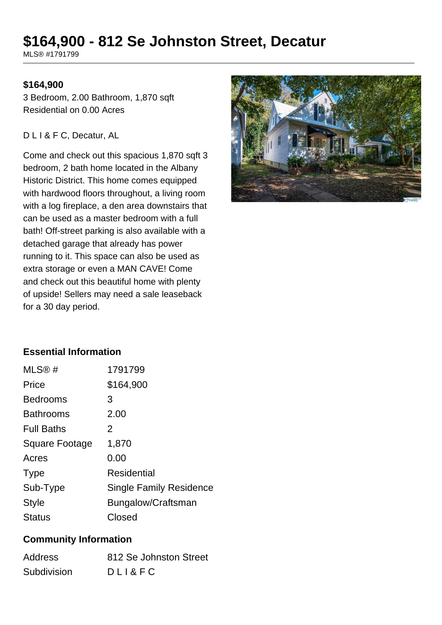# **\$164,900 - 812 Se Johnston Street, Decatur**

MLS® #1791799

#### **\$164,900**

3 Bedroom, 2.00 Bathroom, 1,870 sqft Residential on 0.00 Acres

### D L I & F C, Decatur, AL

Come and check out this spacious 1,870 sqft 3 bedroom, 2 bath home located in the Albany Historic District. This home comes equipped with hardwood floors throughout, a living room with a log fireplace, a den area downstairs that can be used as a master bedroom with a full bath! Off-street parking is also available with a detached garage that already has power running to it. This space can also be used as extra storage or even a MAN CAVE! Come and check out this beautiful home with plenty of upside! Sellers may need a sale leaseback for a 30 day period.



## **Essential Information**

| MLS@#             | 1791799                 |
|-------------------|-------------------------|
| Price             | \$164,900               |
| <b>Bedrooms</b>   | 3                       |
| <b>Bathrooms</b>  | 2.00                    |
| <b>Full Baths</b> | 2                       |
| Square Footage    | 1,870                   |
| Acres             | 0.00                    |
| <b>Type</b>       | Residential             |
| Sub-Type          | Single Family Residence |
| <b>Style</b>      | Bungalow/Craftsman      |
| Status            | Closed                  |

## **Community Information**

| <b>Address</b> | 812 Se Johnston Street |
|----------------|------------------------|
| Subdivision    | DLI&FC                 |